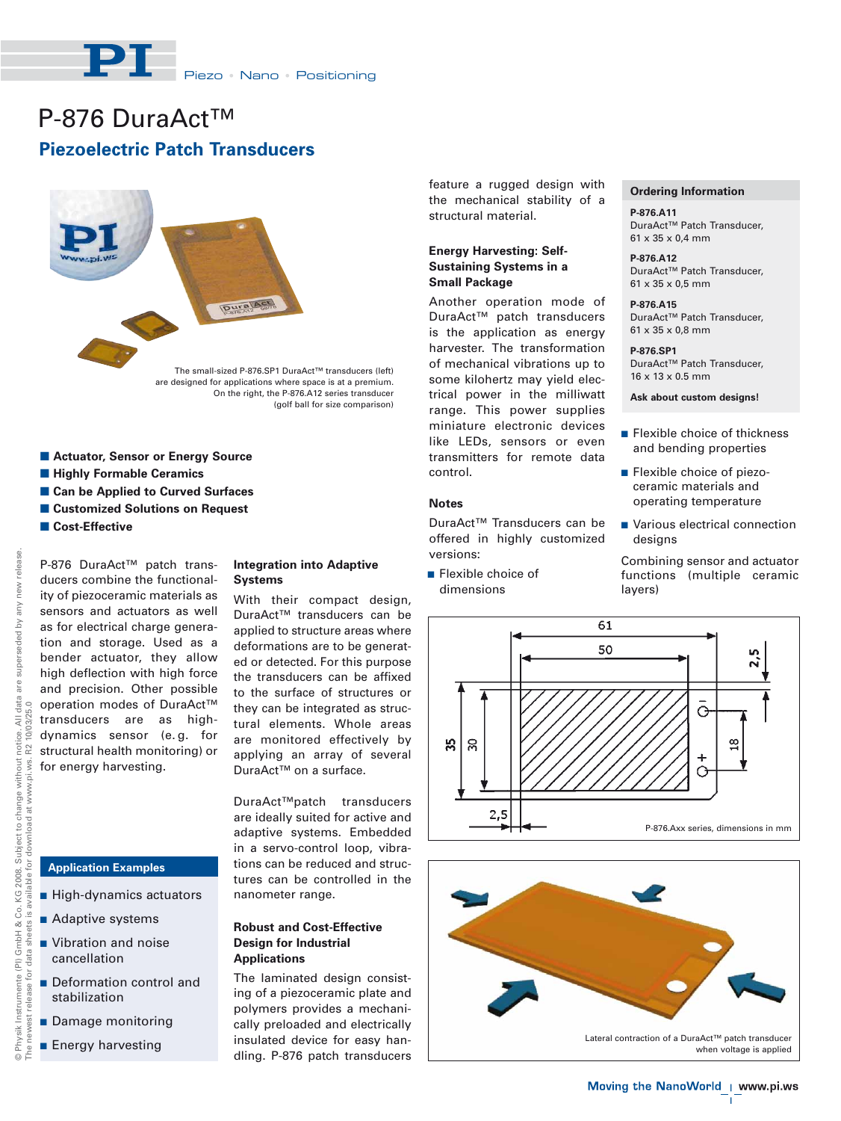

# **Piezoelectric Patch Transducers** P-876 DuraAct<sup>™</sup>



- **E** Actuator, Sensor or Energy Source
- $\blacksquare$  **Highly Formable Ceramics**
- **E Can be Applied to Curved Surfaces**
- **E Customized Solutions on Request**
- $\blacksquare$  Cost-Effective

P-876 DuraAct™ patch transducers combine the functionality of piezoceramic materials as sensors and actuators as well as for electrical charge generation and storage. Used as a bender actuator, they allow high deflection with high force and precision. Other possible operation modes of DuraAct™ transducers are as highdynamics sensor (e. g. for structural health monitoring) or for energy harvesting.

# **Application Examples**

- High-dynamics actuators
- Adaptive systems
- **No. 3** Vibration and noise cancellation
- **Deformation control and** stabilization
- **Damage monitoring**
- **Energy harvesting**

# **Integration into Adaptive Systems**

With their compact design, DuraAct™ transducers can be applied to structure areas where deformations are to be generated or detected. For this purpose the transducers can be affixed to the surface of structures or they can be integrated as structural elements. Whole areas are monitored effectively by applying an array of several DuraAct™ on a surface.

DuraAct™patch transducers are ideally suited for active and adaptive systems. Embedded in a servo-control loop, vibrations can be reduced and structures can be controlled in the nanometer range.

## **Robust and Cost-Effective Design for Industrial Applications**

The laminated design consisting of a piezoceramic plate and polymers provides a mechanically preloaded and electrically insulated device for easy handling. P-876 patch transducers feature a rugged design with the mechanical stability of a structural material.

# **Energy Harvesting: Self-Sustaining Systems in a Small Package**

Another operation mode of DuraAct™ patch transducers is the application as energy harvester. The transformation of mechanical vibrations up to some kilohertz may yield electrical power in the milliwatt range. This power supplies miniature electronic devices like LEDs, sensors or even transmitters for remote data control.

## **Notes**

DuraAct™ Transducers can be offered in highly customized versions:

**Flexible choice of** dimensions

#### **Ordering Information**

**P-876.A11** DuraAct™ Patch Transducer, 61 x 35 x 0,4 mm

**P-876.A12** DuraAct™ Patch Transducer, 61 x 35 x 0,5 mm

#### **P-876.A15** DuraAct™ Patch Transducer, 61 x 35 x 0,8 mm

**P-876.SP1** DuraAct™ Patch Transducer, 16 x 13 x 0.5 mm

**Ask about custom designs!**

- **Example Choice of thickness** and bending properties
- **Flexible choice of piezo**ceramic materials and operating temperature
- **Natious electrical connection** designs

Combining sensor and actuator functions (multiple ceramic layers)





 $\mathbf{L}$